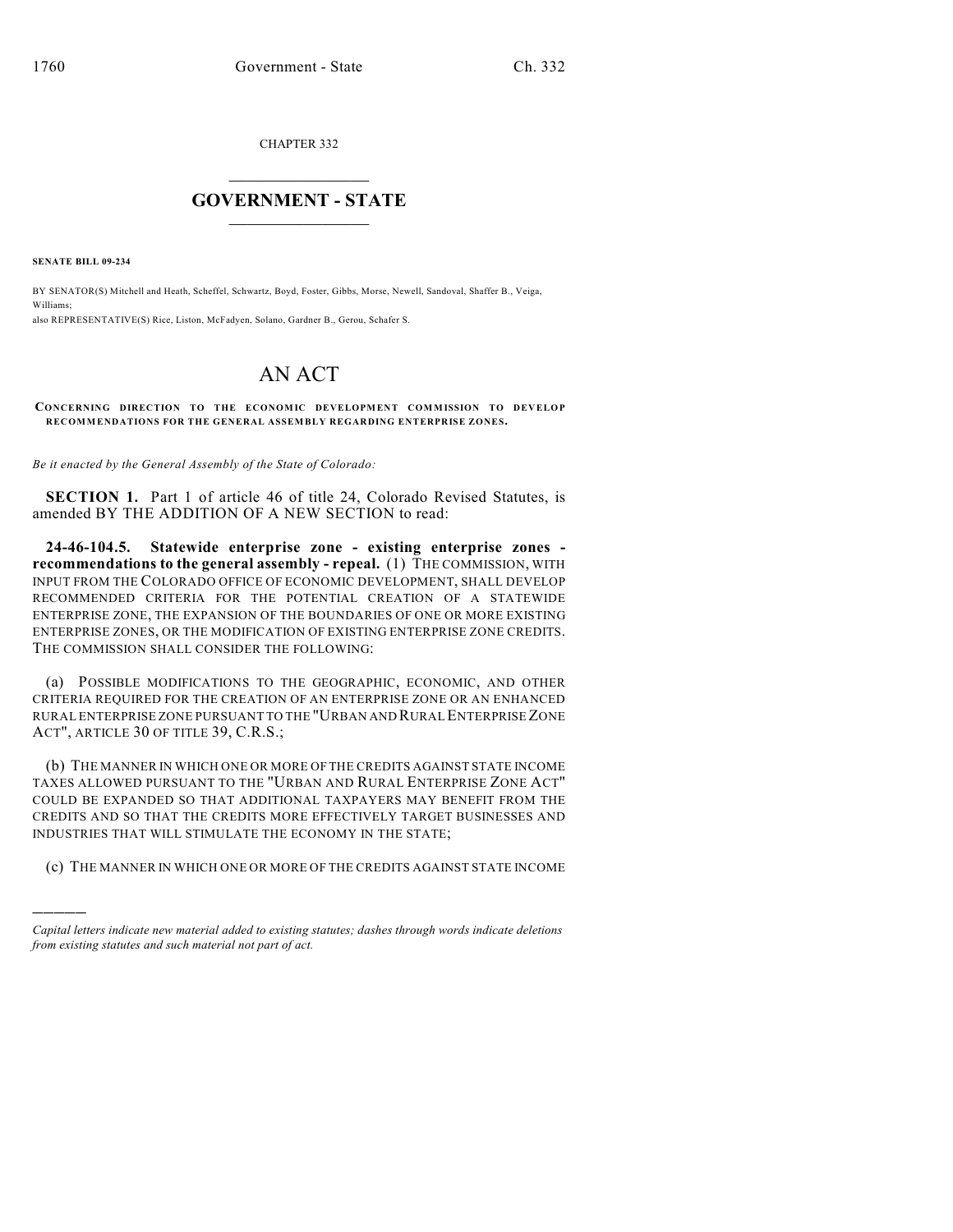CHAPTER 332

## $\overline{\phantom{a}}$  . The set of the set of the set of the set of the set of the set of the set of the set of the set of the set of the set of the set of the set of the set of the set of the set of the set of the set of the set o **GOVERNMENT - STATE**  $\_$

**SENATE BILL 09-234**

)))))

BY SENATOR(S) Mitchell and Heath, Scheffel, Schwartz, Boyd, Foster, Gibbs, Morse, Newell, Sandoval, Shaffer B., Veiga, Williams; also REPRESENTATIVE(S) Rice, Liston, McFadyen, Solano, Gardner B., Gerou, Schafer S.

## AN ACT

CONCERNING DIRECTION TO THE ECONOMIC DEVELOPMENT COMMISSION TO DEVELOP **RECOMMENDATIONS FOR THE GENERAL ASSEMBLY REGARDING ENTERPRISE ZONES.**

*Be it enacted by the General Assembly of the State of Colorado:*

**SECTION 1.** Part 1 of article 46 of title 24, Colorado Revised Statutes, is amended BY THE ADDITION OF A NEW SECTION to read:

**24-46-104.5. Statewide enterprise zone - existing enterprise zones recommendations to the general assembly - repeal.** (1) THE COMMISSION, WITH INPUT FROM THE COLORADO OFFICE OF ECONOMIC DEVELOPMENT, SHALL DEVELOP RECOMMENDED CRITERIA FOR THE POTENTIAL CREATION OF A STATEWIDE ENTERPRISE ZONE, THE EXPANSION OF THE BOUNDARIES OF ONE OR MORE EXISTING ENTERPRISE ZONES, OR THE MODIFICATION OF EXISTING ENTERPRISE ZONE CREDITS. THE COMMISSION SHALL CONSIDER THE FOLLOWING:

(a) POSSIBLE MODIFICATIONS TO THE GEOGRAPHIC, ECONOMIC, AND OTHER CRITERIA REQUIRED FOR THE CREATION OF AN ENTERPRISE ZONE OR AN ENHANCED RURAL ENTERPRISE ZONE PURSUANT TO THE "URBAN AND RURAL ENTERPRISE ZONE ACT", ARTICLE 30 OF TITLE 39, C.R.S.;

(b) THE MANNER IN WHICH ONE OR MORE OF THE CREDITS AGAINST STATE INCOME TAXES ALLOWED PURSUANT TO THE "URBAN AND RURAL ENTERPRISE ZONE ACT" COULD BE EXPANDED SO THAT ADDITIONAL TAXPAYERS MAY BENEFIT FROM THE CREDITS AND SO THAT THE CREDITS MORE EFFECTIVELY TARGET BUSINESSES AND INDUSTRIES THAT WILL STIMULATE THE ECONOMY IN THE STATE;

(c) THE MANNER IN WHICH ONE OR MORE OF THE CREDITS AGAINST STATE INCOME

*Capital letters indicate new material added to existing statutes; dashes through words indicate deletions from existing statutes and such material not part of act.*